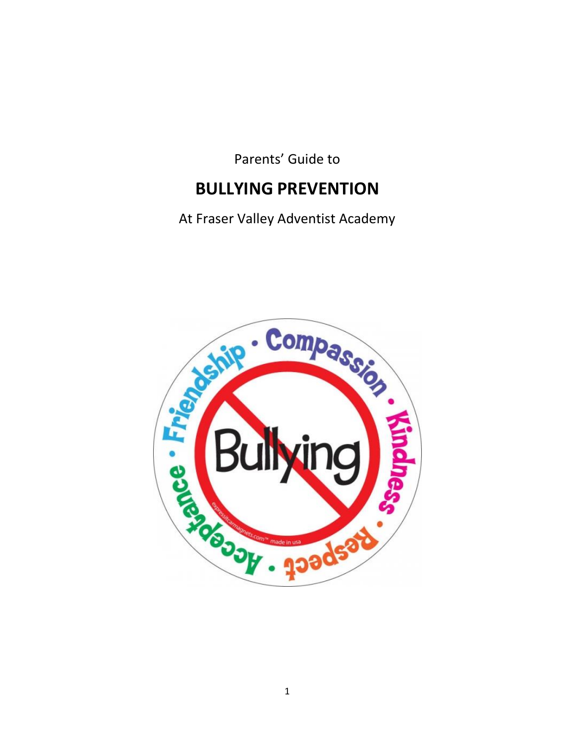Parents' Guide to

## **BULLYING PREVENTION**

At Fraser Valley Adventist Academy

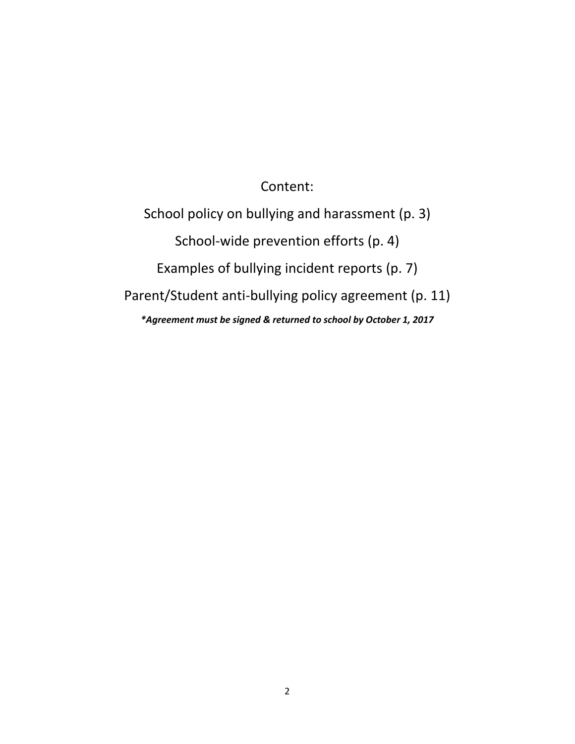Content:

School policy on bullying and harassment (p. 3) School-wide prevention efforts (p. 4) Examples of bullying incident reports (p. 7) Parent/Student anti-bullying policy agreement (p. 11) *\*Agreement must be signed & returned to school by October 1, 2017*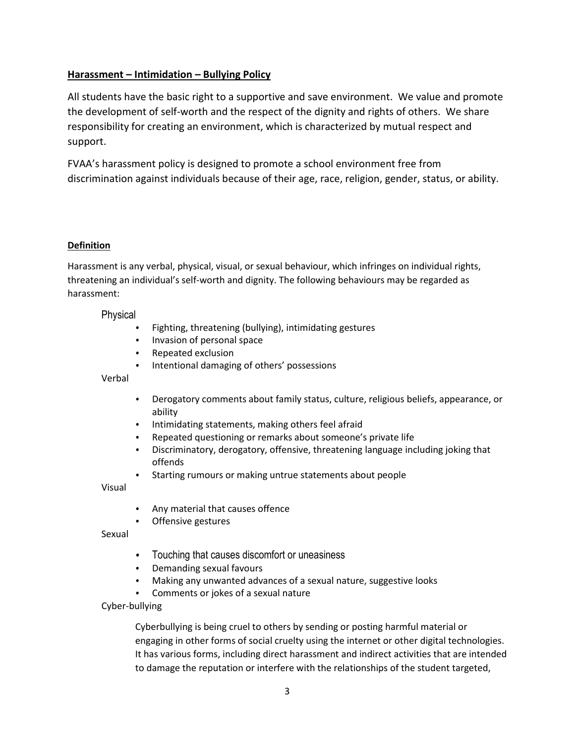#### **Harassment – Intimidation – Bullying Policy**

All students have the basic right to a supportive and save environment. We value and promote the development of self-worth and the respect of the dignity and rights of others. We share responsibility for creating an environment, which is characterized by mutual respect and support.

FVAA's harassment policy is designed to promote a school environment free from discrimination against individuals because of their age, race, religion, gender, status, or ability.

#### **Definition**

Harassment is any verbal, physical, visual, or sexual behaviour, which infringes on individual rights, threatening an individual's self-worth and dignity. The following behaviours may be regarded as harassment:

#### Physical

- Fighting, threatening (bullying), intimidating gestures
- Invasion of personal space
- Repeated exclusion
- Intentional damaging of others' possessions

#### Verbal

- Derogatory comments about family status, culture, religious beliefs, appearance, or ability
- Intimidating statements, making others feel afraid
- Repeated questioning or remarks about someone's private life
- Discriminatory, derogatory, offensive, threatening language including joking that offends
- Starting rumours or making untrue statements about people

Visual

- Any material that causes offence
- Offensive gestures

Sexual

- Touching that causes discomfort or uneasiness
- Demanding sexual favours
- Making any unwanted advances of a sexual nature, suggestive looks
- Comments or jokes of a sexual nature
- Cyber-bullying

Cyberbullying is being cruel to others by sending or posting harmful material or engaging in other forms of social cruelty using the internet or other digital technologies. It has various forms, including direct harassment and indirect activities that are intended to damage the reputation or interfere with the relationships of the student targeted,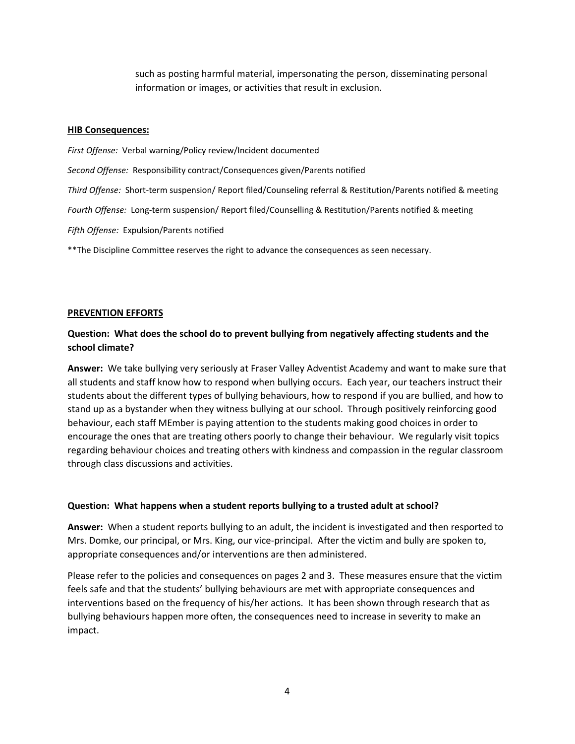such as posting harmful material, impersonating the person, disseminating personal information or images, or activities that result in exclusion.

#### **HIB Consequences:**

*First Offense:* Verbal warning/Policy review/Incident documented *Second Offense:* Responsibility contract/Consequences given/Parents notified *Third Offense:* Short-term suspension/ Report filed/Counseling referral & Restitution/Parents notified & meeting *Fourth Offense:* Long-term suspension/ Report filed/Counselling & Restitution/Parents notified & meeting *Fifth Offense:* Expulsion/Parents notified

\*\*The Discipline Committee reserves the right to advance the consequences as seen necessary.

#### **PREVENTION EFFORTS**

#### **Question: What does the school do to prevent bullying from negatively affecting students and the school climate?**

**Answer:** We take bullying very seriously at Fraser Valley Adventist Academy and want to make sure that all students and staff know how to respond when bullying occurs. Each year, our teachers instruct their students about the different types of bullying behaviours, how to respond if you are bullied, and how to stand up as a bystander when they witness bullying at our school. Through positively reinforcing good behaviour, each staff MEmber is paying attention to the students making good choices in order to encourage the ones that are treating others poorly to change their behaviour. We regularly visit topics regarding behaviour choices and treating others with kindness and compassion in the regular classroom through class discussions and activities.

#### **Question: What happens when a student reports bullying to a trusted adult at school?**

**Answer:** When a student reports bullying to an adult, the incident is investigated and then resported to Mrs. Domke, our principal, or Mrs. King, our vice-principal. After the victim and bully are spoken to, appropriate consequences and/or interventions are then administered.

Please refer to the policies and consequences on pages 2 and 3. These measures ensure that the victim feels safe and that the students' bullying behaviours are met with appropriate consequences and interventions based on the frequency of his/her actions. It has been shown through research that as bullying behaviours happen more often, the consequences need to increase in severity to make an impact.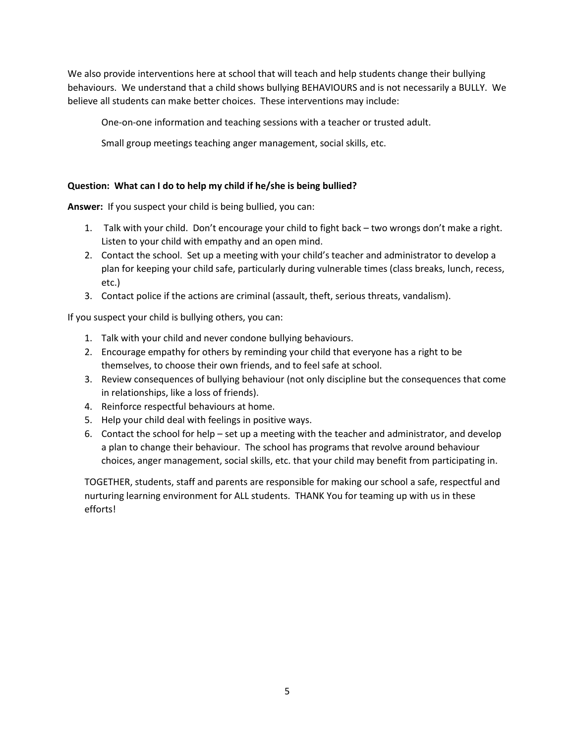We also provide interventions here at school that will teach and help students change their bullying behaviours. We understand that a child shows bullying BEHAVIOURS and is not necessarily a BULLY. We believe all students can make better choices. These interventions may include:

One-on-one information and teaching sessions with a teacher or trusted adult.

Small group meetings teaching anger management, social skills, etc.

#### **Question: What can I do to help my child if he/she is being bullied?**

**Answer:** If you suspect your child is being bullied, you can:

- 1. Talk with your child. Don't encourage your child to fight back two wrongs don't make a right. Listen to your child with empathy and an open mind.
- 2. Contact the school. Set up a meeting with your child's teacher and administrator to develop a plan for keeping your child safe, particularly during vulnerable times (class breaks, lunch, recess, etc.)
- 3. Contact police if the actions are criminal (assault, theft, serious threats, vandalism).

If you suspect your child is bullying others, you can:

- 1. Talk with your child and never condone bullying behaviours.
- 2. Encourage empathy for others by reminding your child that everyone has a right to be themselves, to choose their own friends, and to feel safe at school.
- 3. Review consequences of bullying behaviour (not only discipline but the consequences that come in relationships, like a loss of friends).
- 4. Reinforce respectful behaviours at home.
- 5. Help your child deal with feelings in positive ways.
- 6. Contact the school for help set up a meeting with the teacher and administrator, and develop a plan to change their behaviour. The school has programs that revolve around behaviour choices, anger management, social skills, etc. that your child may benefit from participating in.

TOGETHER, students, staff and parents are responsible for making our school a safe, respectful and nurturing learning environment for ALL students. THANK You for teaming up with us in these efforts!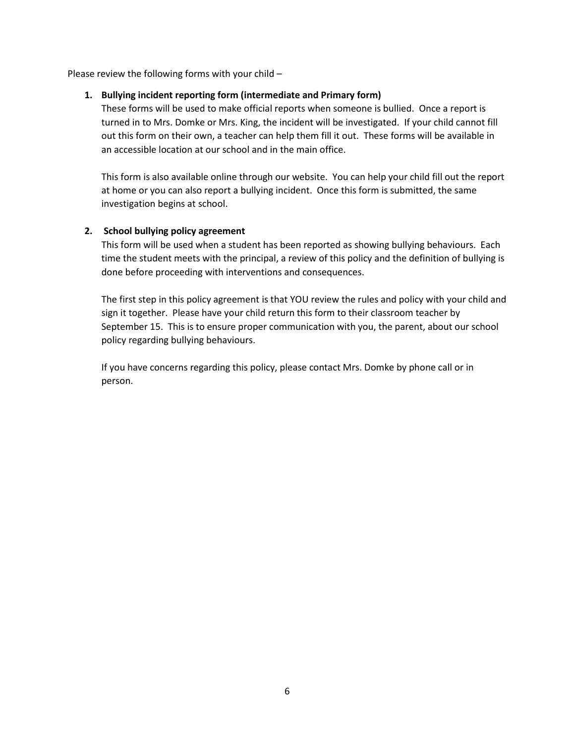Please review the following forms with your child –

#### **1. Bullying incident reporting form (intermediate and Primary form)**

These forms will be used to make official reports when someone is bullied. Once a report is turned in to Mrs. Domke or Mrs. King, the incident will be investigated. If your child cannot fill out this form on their own, a teacher can help them fill it out. These forms will be available in an accessible location at our school and in the main office.

This form is also available online through our website. You can help your child fill out the report at home or you can also report a bullying incident. Once this form is submitted, the same investigation begins at school.

#### **2. School bullying policy agreement**

This form will be used when a student has been reported as showing bullying behaviours. Each time the student meets with the principal, a review of this policy and the definition of bullying is done before proceeding with interventions and consequences.

The first step in this policy agreement is that YOU review the rules and policy with your child and sign it together. Please have your child return this form to their classroom teacher by September 15. This is to ensure proper communication with you, the parent, about our school policy regarding bullying behaviours.

If you have concerns regarding this policy, please contact Mrs. Domke by phone call or in person.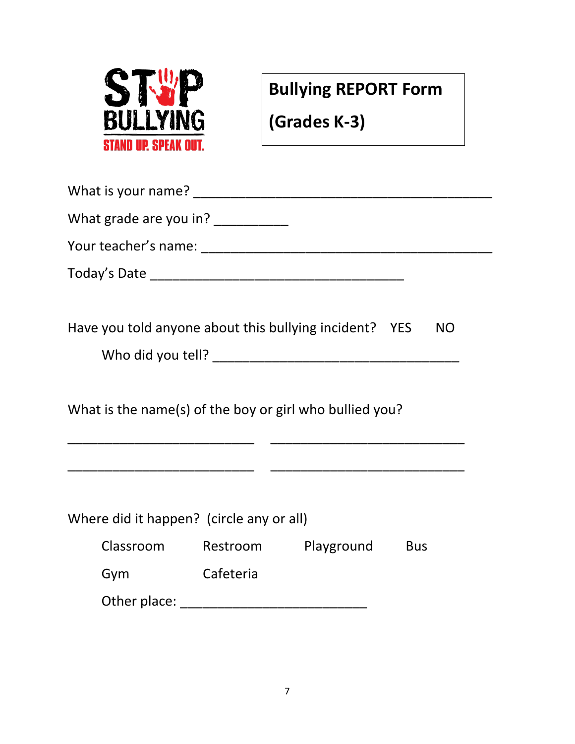

**Bullying REPORT Form**

**(Grades K-3)**

| What grade are you in? ____________                                                                                   |                  |                                   |           |  |
|-----------------------------------------------------------------------------------------------------------------------|------------------|-----------------------------------|-----------|--|
|                                                                                                                       |                  |                                   |           |  |
|                                                                                                                       |                  |                                   |           |  |
|                                                                                                                       |                  |                                   |           |  |
| Have you told anyone about this bullying incident? YES                                                                |                  |                                   | <b>NO</b> |  |
|                                                                                                                       |                  |                                   |           |  |
|                                                                                                                       |                  |                                   |           |  |
| What is the name(s) of the boy or girl who bullied you?                                                               |                  |                                   |           |  |
|                                                                                                                       |                  |                                   |           |  |
| <u> 1989 - Johann Barbara, martin da kasar Amerikaan kasar dalam dalam kasar dalam dalam dalam dalam dalam dalam </u> |                  |                                   |           |  |
|                                                                                                                       |                  |                                   |           |  |
| Where did it happen? (circle any or all)                                                                              |                  |                                   |           |  |
|                                                                                                                       |                  | Classroom Restroom Playground Bus |           |  |
| Gym                                                                                                                   | <b>Cafeteria</b> |                                   |           |  |
|                                                                                                                       |                  |                                   |           |  |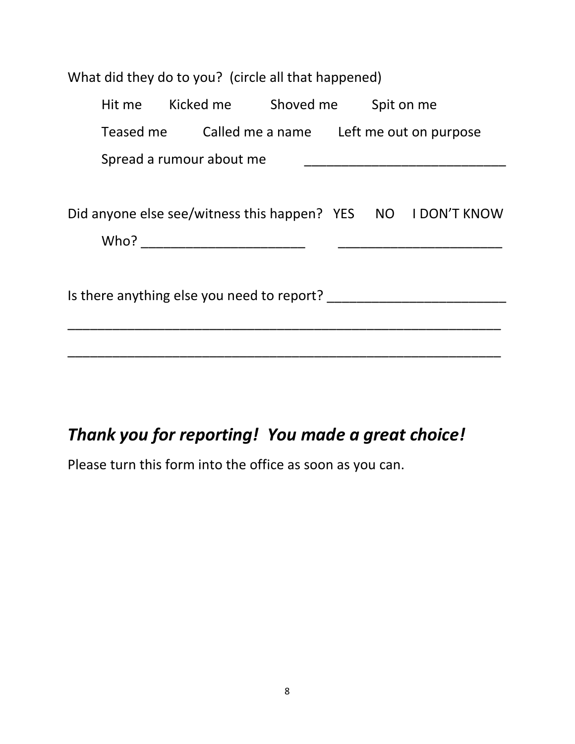| What did they do to you? (circle all that happened) |  |  |                                       |  |                                                              |
|-----------------------------------------------------|--|--|---------------------------------------|--|--------------------------------------------------------------|
|                                                     |  |  | Hit me Kicked me Shoved me Spit on me |  |                                                              |
|                                                     |  |  |                                       |  | Teased me Called me a name Left me out on purpose            |
| Spread a rumour about me                            |  |  |                                       |  |                                                              |
|                                                     |  |  |                                       |  |                                                              |
|                                                     |  |  |                                       |  | Did anyone else see/witness this happen? YES NO I DON'T KNOW |
|                                                     |  |  |                                       |  |                                                              |
|                                                     |  |  |                                       |  |                                                              |
| Is there anything else you need to report?          |  |  |                                       |  |                                                              |
|                                                     |  |  |                                       |  |                                                              |
|                                                     |  |  |                                       |  |                                                              |
|                                                     |  |  |                                       |  |                                                              |

## *Thank you for reporting! You made a great choice!*

Please turn this form into the office as soon as you can.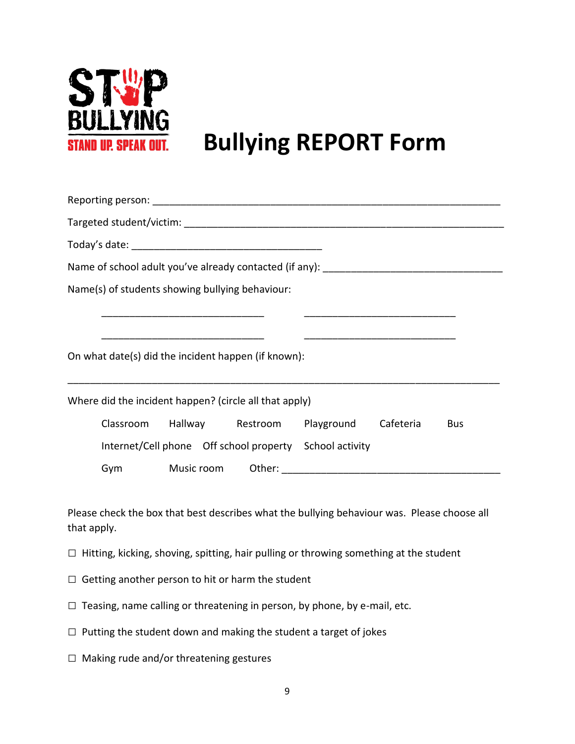

# **Bullying REPORT Form**

| Name of school adult you've already contacted (if any): ________________________ |  |  |            |  |  |
|----------------------------------------------------------------------------------|--|--|------------|--|--|
| Name(s) of students showing bullying behaviour:                                  |  |  |            |  |  |
|                                                                                  |  |  |            |  |  |
| On what date(s) did the incident happen (if known):                              |  |  |            |  |  |
| Where did the incident happen? (circle all that apply)                           |  |  |            |  |  |
| Classroom Hallway Restroom Playground Cafeteria                                  |  |  | <b>Bus</b> |  |  |
|                                                                                  |  |  |            |  |  |
| Internet/Cell phone Off school property School activity                          |  |  |            |  |  |

Please check the box that best describes what the bullying behaviour was. Please choose all that apply.

- $\square$  Hitting, kicking, shoving, spitting, hair pulling or throwing something at the student
- $\Box$  Getting another person to hit or harm the student
- $\Box$  Teasing, name calling or threatening in person, by phone, by e-mail, etc.
- $\Box$  Putting the student down and making the student a target of jokes
- $\square$  Making rude and/or threatening gestures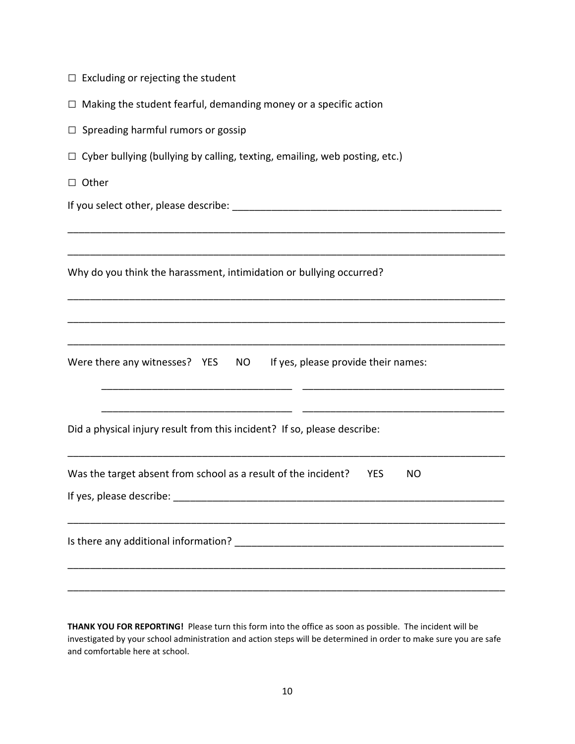| $\Box$ Excluding or rejecting the student                                                                                                                                                    |
|----------------------------------------------------------------------------------------------------------------------------------------------------------------------------------------------|
| $\Box$ Making the student fearful, demanding money or a specific action                                                                                                                      |
| $\Box$ Spreading harmful rumors or gossip                                                                                                                                                    |
| $\Box$ Cyber bullying (bullying by calling, texting, emailing, web posting, etc.)                                                                                                            |
| $\Box$ Other                                                                                                                                                                                 |
|                                                                                                                                                                                              |
|                                                                                                                                                                                              |
| Why do you think the harassment, intimidation or bullying occurred?                                                                                                                          |
|                                                                                                                                                                                              |
| Were there any witnesses? YES NO If yes, please provide their names:<br><u> 1980 - Jan James James James James James James James James James James James James James James James James J</u> |
| Did a physical injury result from this incident? If so, please describe:                                                                                                                     |
| Was the target absent from school as a result of the incident?<br><b>YES</b><br><b>NO</b><br>If yes, please describe:                                                                        |
|                                                                                                                                                                                              |
|                                                                                                                                                                                              |

**THANK YOU FOR REPORTING!** Please turn this form into the office as soon as possible. The incident will be investigated by your school administration and action steps will be determined in order to make sure you are safe and comfortable here at school.